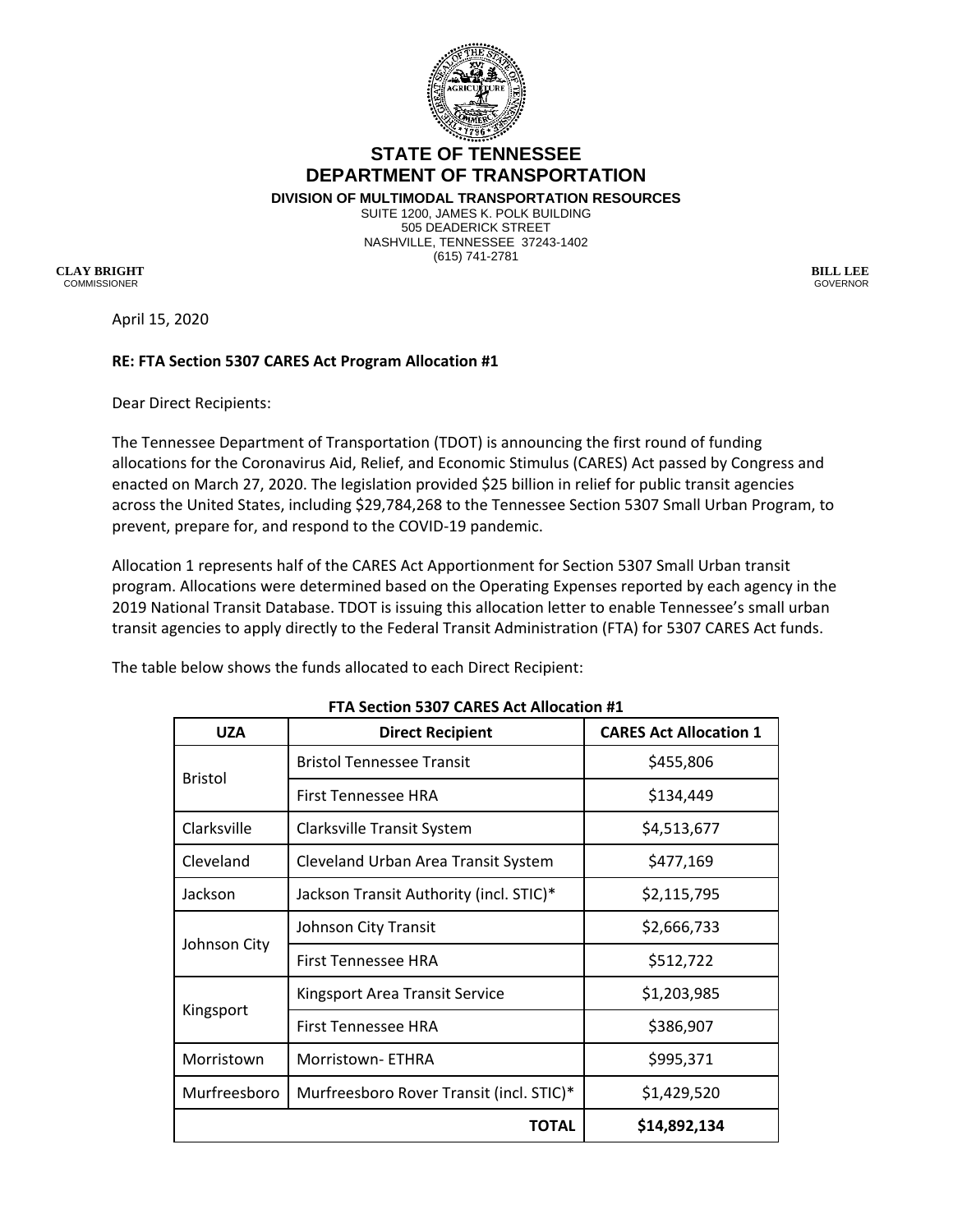

## **STATE OF TENNESSEE DEPARTMENT OF TRANSPORTATION**

**DIVISION OF MULTIMODAL TRANSPORTATION RESOURCES** SUITE 1200, JAMES K. POLK BUILDING 505 DEADERICK STREET NASHVILLE, TENNESSEE 37243-1402 (615) 741-2781

**CLAY BRIGHT BILL LEE**COMMISSIONER GOVERNOR

April 15, 2020

## **RE: FTA Section 5307 CARES Act Program Allocation #1**

Dear Direct Recipients:

The Tennessee Department of Transportation (TDOT) is announcing the first round of funding allocations for the Coronavirus Aid, Relief, and Economic Stimulus (CARES) Act passed by Congress and enacted on March 27, 2020. The legislation provided \$25 billion in relief for public transit agencies across the United States, including \$29,784,268 to the Tennessee Section 5307 Small Urban Program, to prevent, prepare for, and respond to the COVID-19 pandemic.

Allocation 1 represents half of the CARES Act Apportionment for Section 5307 Small Urban transit program. Allocations were determined based on the Operating Expenses reported by each agency in the 2019 National Transit Database. TDOT is issuing this allocation letter to enable Tennessee's small urban transit agencies to apply directly to the Federal Transit Administration (FTA) for 5307 CARES Act funds.

The table below shows the funds allocated to each Direct Recipient:

| <b>UZA</b>     | <b>Direct Recipient</b>                  | <b>CARES Act Allocation 1</b> |
|----------------|------------------------------------------|-------------------------------|
| <b>Bristol</b> | <b>Bristol Tennessee Transit</b>         | \$455,806                     |
|                | First Tennessee HRA                      | \$134,449                     |
| Clarksville    | <b>Clarksville Transit System</b>        | \$4,513,677                   |
| Cleveland      | Cleveland Urban Area Transit System      | \$477,169                     |
| Jackson        | Jackson Transit Authority (incl. STIC)*  | \$2,115,795                   |
| Johnson City   | Johnson City Transit                     | \$2,666,733                   |
|                | First Tennessee HRA                      | \$512,722                     |
| Kingsport      | <b>Kingsport Area Transit Service</b>    | \$1,203,985                   |
|                | First Tennessee HRA                      | \$386,907                     |
| Morristown     | Morristown-ETHRA                         | \$995,371                     |
| Murfreesboro   | Murfreesboro Rover Transit (incl. STIC)* | \$1,429,520                   |
| TOTAL          |                                          | \$14,892,134                  |

## **FTA Section 5307 CARES Act Allocation #1**